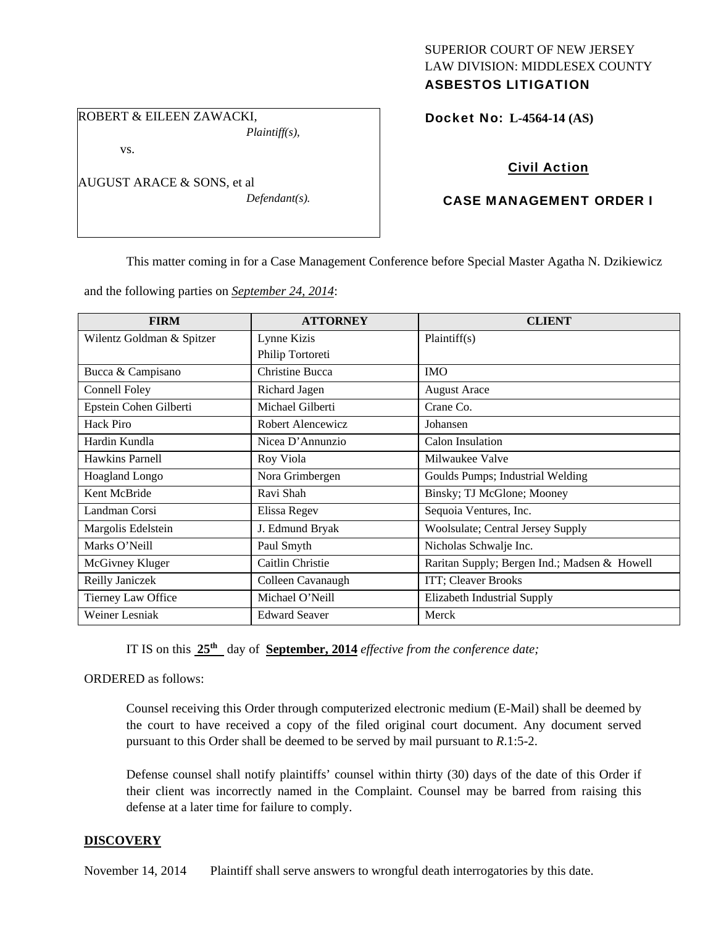# SUPERIOR COURT OF NEW JERSEY LAW DIVISION: MIDDLESEX COUNTY

# ASBESTOS LITIGATION

ROBERT & EILEEN ZAWACKI, *Plaintiff(s),* 

vs.

AUGUST ARACE & SONS, et al

*Defendant(s).* 

Docket No: **L-4564-14 (AS)** 

# Civil Action

## CASE MANAGEMENT ORDER I

This matter coming in for a Case Management Conference before Special Master Agatha N. Dzikiewicz

and the following parties on *September 24, 2014*:

| <b>FIRM</b>               | <b>ATTORNEY</b>        | <b>CLIENT</b>                                |
|---------------------------|------------------------|----------------------------------------------|
| Wilentz Goldman & Spitzer | Lynne Kizis            | Plaintiff(s)                                 |
|                           | Philip Tortoreti       |                                              |
| Bucca & Campisano         | <b>Christine Bucca</b> | <b>IMO</b>                                   |
| Connell Foley             | Richard Jagen          | <b>August Arace</b>                          |
| Epstein Cohen Gilberti    | Michael Gilberti       | Crane Co.                                    |
| Hack Piro                 | Robert Alencewicz      | Johansen                                     |
| Hardin Kundla             | Nicea D'Annunzio       | Calon Insulation                             |
| Hawkins Parnell           | Roy Viola              | Milwaukee Valve                              |
| <b>Hoagland Longo</b>     | Nora Grimbergen        | Goulds Pumps; Industrial Welding             |
| Kent McBride              | Ravi Shah              | Binsky; TJ McGlone; Mooney                   |
| Landman Corsi             | Elissa Regev           | Sequoia Ventures, Inc.                       |
| Margolis Edelstein        | J. Edmund Bryak        | Woolsulate; Central Jersey Supply            |
| Marks O'Neill             | Paul Smyth             | Nicholas Schwalje Inc.                       |
| McGivney Kluger           | Caitlin Christie       | Raritan Supply; Bergen Ind.; Madsen & Howell |
| Reilly Janiczek           | Colleen Cavanaugh      | ITT; Cleaver Brooks                          |
| Tierney Law Office        | Michael O'Neill        | Elizabeth Industrial Supply                  |
| Weiner Lesniak            | <b>Edward Seaver</b>   | Merck                                        |

IT IS on this **25th** day of **September, 2014** *effective from the conference date;*

ORDERED as follows:

Counsel receiving this Order through computerized electronic medium (E-Mail) shall be deemed by the court to have received a copy of the filed original court document. Any document served pursuant to this Order shall be deemed to be served by mail pursuant to *R*.1:5-2.

Defense counsel shall notify plaintiffs' counsel within thirty (30) days of the date of this Order if their client was incorrectly named in the Complaint. Counsel may be barred from raising this defense at a later time for failure to comply.

#### **DISCOVERY**

November 14, 2014 Plaintiff shall serve answers to wrongful death interrogatories by this date.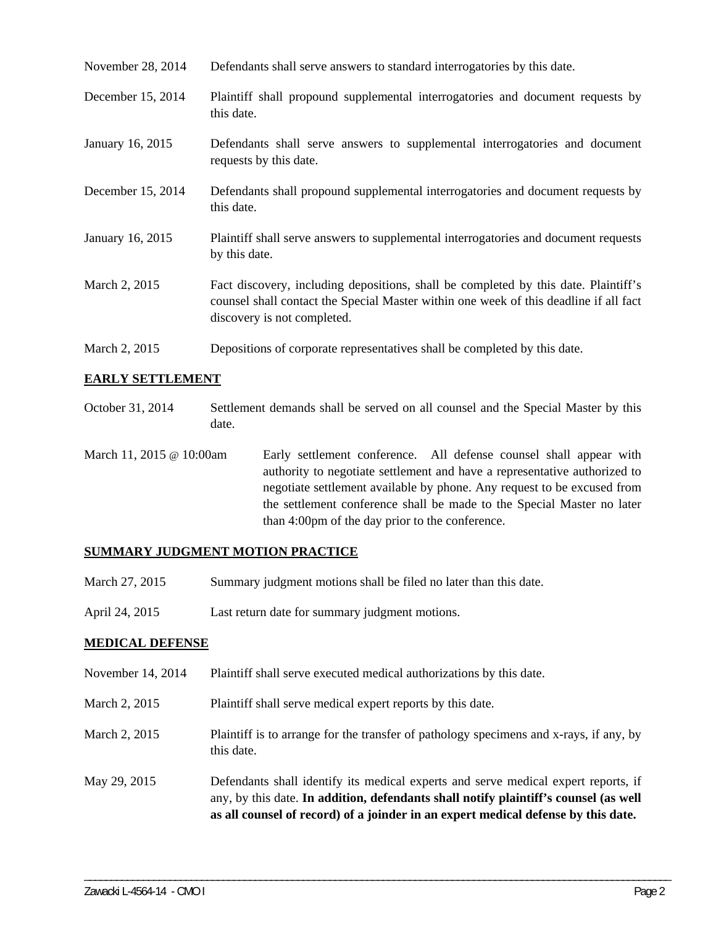| November 28, 2014 | Defendants shall serve answers to standard interrogatories by this date. |
|-------------------|--------------------------------------------------------------------------|
|                   |                                                                          |

December 15, 2014 Plaintiff shall propound supplemental interrogatories and document requests by this date.

- January 16, 2015 Defendants shall serve answers to supplemental interrogatories and document requests by this date.
- December 15, 2014 Defendants shall propound supplemental interrogatories and document requests by this date.
- January 16, 2015 Plaintiff shall serve answers to supplemental interrogatories and document requests by this date.
- March 2, 2015 Fact discovery, including depositions, shall be completed by this date. Plaintiff's counsel shall contact the Special Master within one week of this deadline if all fact discovery is not completed.
- March 2, 2015 Depositions of corporate representatives shall be completed by this date.

#### **EARLY SETTLEMENT**

- October 31, 2014 Settlement demands shall be served on all counsel and the Special Master by this date.
- March 11, 2015 @ 10:00am Early settlement conference. All defense counsel shall appear with authority to negotiate settlement and have a representative authorized to negotiate settlement available by phone. Any request to be excused from the settlement conference shall be made to the Special Master no later than 4:00pm of the day prior to the conference.

#### **SUMMARY JUDGMENT MOTION PRACTICE**

- March 27, 2015 Summary judgment motions shall be filed no later than this date.
- April 24, 2015 Last return date for summary judgment motions.

#### **MEDICAL DEFENSE**

- November 14, 2014 Plaintiff shall serve executed medical authorizations by this date.
- March 2, 2015 Plaint if shall serve medical expert reports by this date.
- March 2, 2015 Plaintiff is to arrange for the transfer of pathology specimens and x-rays, if any, by this date.
- May 29, 2015 Defendants shall identify its medical experts and serve medical expert reports, if any, by this date. **In addition, defendants shall notify plaintiff's counsel (as well as all counsel of record) of a joinder in an expert medical defense by this date.**

\_\_\_\_\_\_\_\_\_\_\_\_\_\_\_\_\_\_\_\_\_\_\_\_\_\_\_\_\_\_\_\_\_\_\_\_\_\_\_\_\_\_\_\_\_\_\_\_\_\_\_\_\_\_\_\_\_\_\_\_\_\_\_\_\_\_\_\_\_\_\_\_\_\_\_\_\_\_\_\_\_\_\_\_\_\_\_\_\_\_\_\_\_\_\_\_\_\_\_\_\_\_\_\_\_\_\_\_\_\_